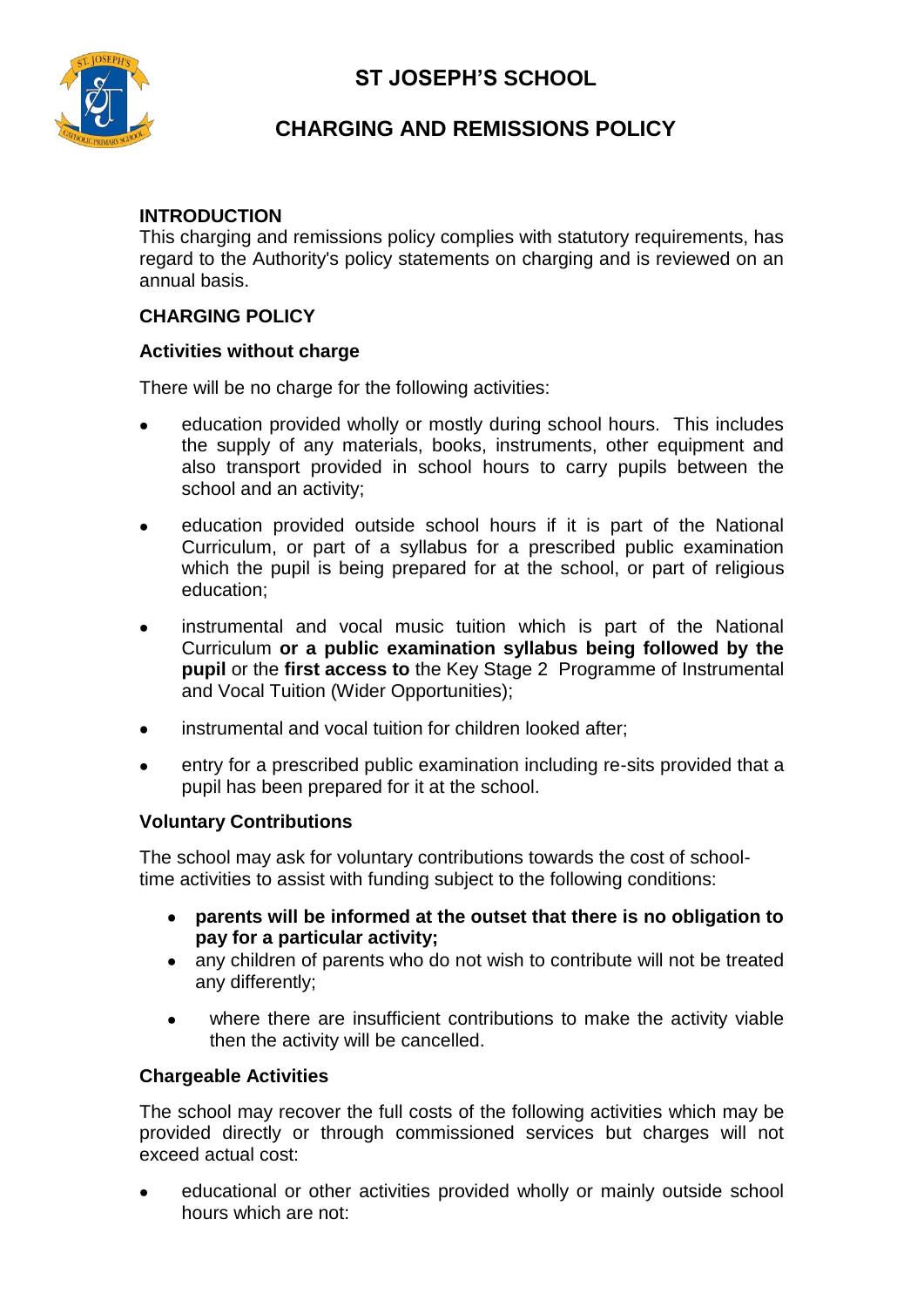



# **CHARGING AND REMISSIONS POLICY**

## **INTRODUCTION**

This charging and remissions policy complies with statutory requirements, has regard to the Authority's policy statements on charging and is reviewed on an annual basis.

## **CHARGING POLICY**

## **Activities without charge**

There will be no charge for the following activities:

- education provided wholly or mostly during school hours. This includes the supply of any materials, books, instruments, other equipment and also transport provided in school hours to carry pupils between the school and an activity;
- education provided outside school hours if it is part of the National  $\bullet$ Curriculum, or part of a syllabus for a prescribed public examination which the pupil is being prepared for at the school, or part of religious education;
- instrumental and vocal music tuition which is part of the National Curriculum **or a public examination syllabus being followed by the pupil** or the **first access to** the Key Stage 2 Programme of Instrumental and Vocal Tuition (Wider Opportunities);
- instrumental and vocal tuition for children looked after;
- entry for a prescribed public examination including re-sits provided that a  $\bullet$ pupil has been prepared for it at the school.

#### **Voluntary Contributions**

The school may ask for voluntary contributions towards the cost of schooltime activities to assist with funding subject to the following conditions:

- **parents will be informed at the outset that there is no obligation to**   $\bullet$ **pay for a particular activity;**
- any children of parents who do not wish to contribute will not be treated any differently;
- where there are insufficient contributions to make the activity viable  $\bullet$ then the activity will be cancelled.

## **Chargeable Activities**

The school may recover the full costs of the following activities which may be provided directly or through commissioned services but charges will not exceed actual cost:

educational or other activities provided wholly or mainly outside school  $\bullet$ hours which are not: